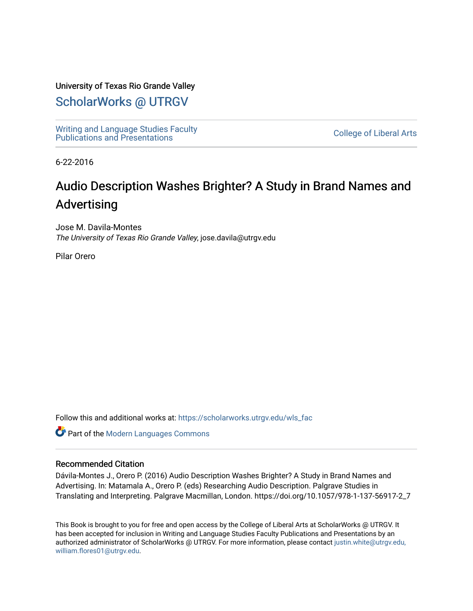### University of Texas Rio Grande Valley

## [ScholarWorks @ UTRGV](https://scholarworks.utrgv.edu/)

[Writing and Language Studies Faculty](https://scholarworks.utrgv.edu/wls_fac)  withing and Language Studies Faculty<br>Publications and Presentations

6-22-2016

# Audio Description Washes Brighter? A Study in Brand Names and Advertising

Jose M. Davila-Montes The University of Texas Rio Grande Valley, jose.davila@utrgv.edu

Pilar Orero

Follow this and additional works at: [https://scholarworks.utrgv.edu/wls\\_fac](https://scholarworks.utrgv.edu/wls_fac?utm_source=scholarworks.utrgv.edu%2Fwls_fac%2F31&utm_medium=PDF&utm_campaign=PDFCoverPages) 

**Part of the Modern Languages Commons** 

#### Recommended Citation

Dávila-Montes J., Orero P. (2016) Audio Description Washes Brighter? A Study in Brand Names and Advertising. In: Matamala A., Orero P. (eds) Researching Audio Description. Palgrave Studies in Translating and Interpreting. Palgrave Macmillan, London. https://doi.org/10.1057/978-1-137-56917-2\_7

This Book is brought to you for free and open access by the College of Liberal Arts at ScholarWorks @ UTRGV. It has been accepted for inclusion in Writing and Language Studies Faculty Publications and Presentations by an authorized administrator of ScholarWorks @ UTRGV. For more information, please contact [justin.white@utrgv.edu,](mailto:justin.white@utrgv.edu,%20william.flores01@utrgv.edu)  [william.flores01@utrgv.edu](mailto:justin.white@utrgv.edu,%20william.flores01@utrgv.edu).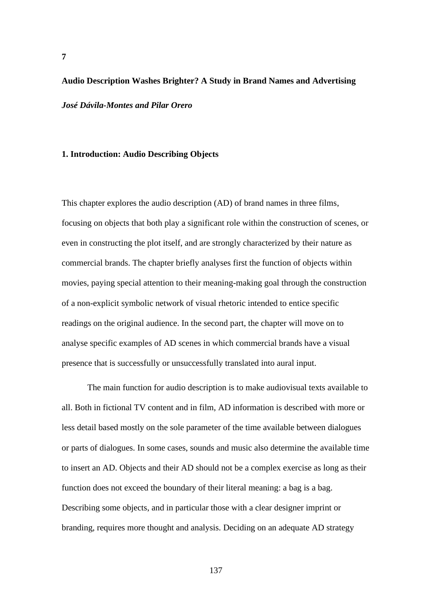# **Audio Description Washes Brighter? A Study in Brand Names and Advertising**  *José Dávila-Montes and Pilar Orero*

#### **1. Introduction: Audio Describing Objects**

This chapter explores the audio description (AD) of brand names in three films, focusing on objects that both play a significant role within the construction of scenes, or even in constructing the plot itself, and are strongly characterized by their nature as commercial brands. The chapter briefly analyses first the function of objects within movies, paying special attention to their meaning-making goal through the construction of a non-explicit symbolic network of visual rhetoric intended to entice specific readings on the original audience. In the second part, the chapter will move on to analyse specific examples of AD scenes in which commercial brands have a visual presence that is successfully or unsuccessfully translated into aural input.

The main function for audio description is to make audiovisual texts available to all. Both in fictional TV content and in film, AD information is described with more or less detail based mostly on the sole parameter of the time available between dialogues or parts of dialogues. In some cases, sounds and music also determine the available time to insert an AD. Objects and their AD should not be a complex exercise as long as their function does not exceed the boundary of their literal meaning: a bag is a bag. Describing some objects, and in particular those with a clear designer imprint or branding, requires more thought and analysis. Deciding on an adequate AD strategy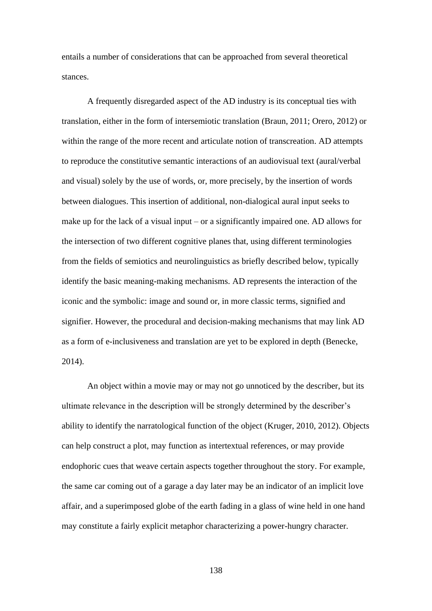entails a number of considerations that can be approached from several theoretical stances.

A frequently disregarded aspect of the AD industry is its conceptual ties with translation, either in the form of intersemiotic translation (Braun, 2011; Orero, 2012) or within the range of the more recent and articulate notion of transcreation. AD attempts to reproduce the constitutive semantic interactions of an audiovisual text (aural/verbal and visual) solely by the use of words, or, more precisely, by the insertion of words between dialogues. This insertion of additional, non-dialogical aural input seeks to make up for the lack of a visual input – or a significantly impaired one. AD allows for the intersection of two different cognitive planes that, using different terminologies from the fields of semiotics and neurolinguistics as briefly described below, typically identify the basic meaning-making mechanisms. AD represents the interaction of the iconic and the symbolic: image and sound or, in more classic terms, signified and signifier. However, the procedural and decision-making mechanisms that may link AD as a form of e-inclusiveness and translation are yet to be explored in depth (Benecke, 2014).

An object within a movie may or may not go unnoticed by the describer, but its ultimate relevance in the description will be strongly determined by the describer's ability to identify the narratological function of the object (Kruger, 2010, 2012). Objects can help construct a plot, may function as intertextual references, or may provide endophoric cues that weave certain aspects together throughout the story. For example, the same car coming out of a garage a day later may be an indicator of an implicit love affair, and a superimposed globe of the earth fading in a glass of wine held in one hand may constitute a fairly explicit metaphor characterizing a power-hungry character.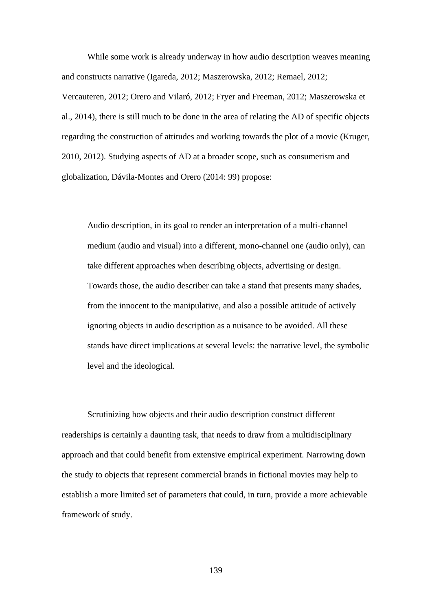While some work is already underway in how audio description weaves meaning and constructs narrative (Igareda, 2012; Maszerowska, 2012; Remael, 2012; Vercauteren, 2012; Orero and Vilaró, 2012; Fryer and Freeman, 2012; Maszerowska et al., 2014), there is still much to be done in the area of relating the AD of specific objects regarding the construction of attitudes and working towards the plot of a movie (Kruger, 2010, 2012). Studying aspects of AD at a broader scope, such as consumerism and globalization, Dávila-Montes and Orero (2014: 99) propose:

Audio description, in its goal to render an interpretation of a multi-channel medium (audio and visual) into a different, mono-channel one (audio only), can take different approaches when describing objects, advertising or design. Towards those, the audio describer can take a stand that presents many shades, from the innocent to the manipulative, and also a possible attitude of actively ignoring objects in audio description as a nuisance to be avoided. All these stands have direct implications at several levels: the narrative level, the symbolic level and the ideological.

Scrutinizing how objects and their audio description construct different readerships is certainly a daunting task, that needs to draw from a multidisciplinary approach and that could benefit from extensive empirical experiment. Narrowing down the study to objects that represent commercial brands in fictional movies may help to establish a more limited set of parameters that could, in turn, provide a more achievable framework of study.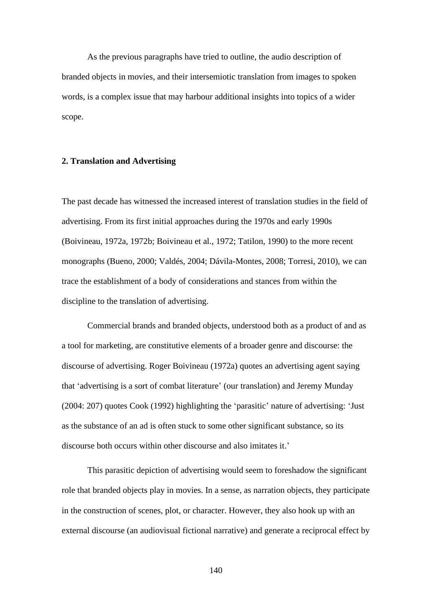As the previous paragraphs have tried to outline, the audio description of branded objects in movies, and their intersemiotic translation from images to spoken words, is a complex issue that may harbour additional insights into topics of a wider scope.

#### **2. Translation and Advertising**

The past decade has witnessed the increased interest of translation studies in the field of advertising. From its first initial approaches during the 1970s and early 1990s (Boivineau, 1972a, 1972b; Boivineau et al., 1972; Tatilon, 1990) to the more recent monographs (Bueno, 2000; Valdés, 2004; Dávila-Montes, 2008; Torresi, 2010), we can trace the establishment of a body of considerations and stances from within the discipline to the translation of advertising.

Commercial brands and branded objects, understood both as a product of and as a tool for marketing, are constitutive elements of a broader genre and discourse: the discourse of advertising. Roger Boivineau (1972a) quotes an advertising agent saying that 'advertising is a sort of combat literature' (our translation) and Jeremy Munday (2004: 207) quotes Cook (1992) highlighting the 'parasitic' nature of advertising: 'Just as the substance of an ad is often stuck to some other significant substance, so its discourse both occurs within other discourse and also imitates it.'

This parasitic depiction of advertising would seem to foreshadow the significant role that branded objects play in movies. In a sense, as narration objects, they participate in the construction of scenes, plot, or character. However, they also hook up with an external discourse (an audiovisual fictional narrative) and generate a reciprocal effect by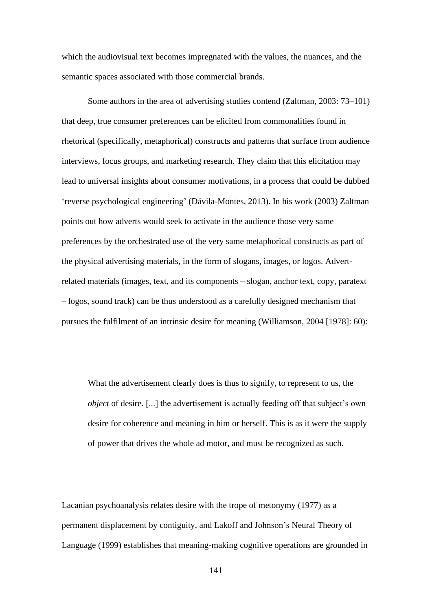which the audiovisual text becomes impregnated with the values, the nuances, and the semantic spaces associated with those commercial brands.

Some authors in the area of advertising studies contend (Zaltman, 2003: 73–101) that deep, true consumer preferences can be elicited from commonalities found in rhetorical (specifically, metaphorical) constructs and patterns that surface from audience interviews, focus groups, and marketing research. They claim that this elicitation may lead to universal insights about consumer motivations, in a process that could be dubbed 'reverse psychological engineering' (Dávila-Montes, 2013). In his work (2003) Zaltman points out how adverts would seek to activate in the audience those very same preferences by the orchestrated use of the very same metaphorical constructs as part of the physical advertising materials, in the form of slogans, images, or logos. Advertrelated materials (images, text, and its components – slogan, anchor text, copy, paratext – logos, sound track) can be thus understood as a carefully designed mechanism that pursues the fulfilment of an intrinsic desire for meaning (Williamson, 2004 [1978]: 60):

What the advertisement clearly does is thus to signify, to represent to us, the *object* of desire. [...] the advertisement is actually feeding off that subject's own desire for coherence and meaning in him or herself. This is as it were the supply of power that drives the whole ad motor, and must be recognized as such.

Lacanian psychoanalysis relates desire with the trope of metonymy (1977) as a permanent displacement by contiguity, and Lakoff and Johnson's Neural Theory of Language (1999) establishes that meaning-making cognitive operations are grounded in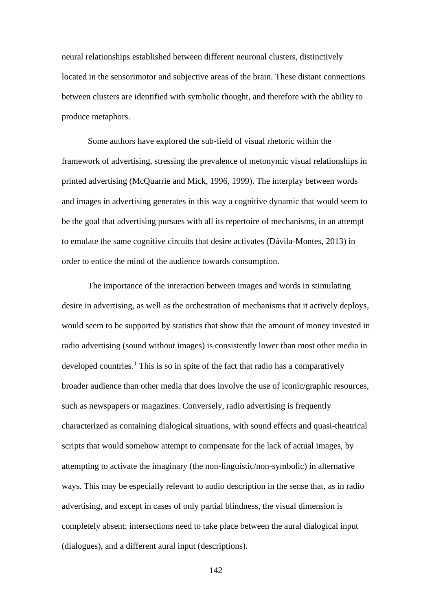neural relationships established between different neuronal clusters, distinctively located in the sensorimotor and subjective areas of the brain. These distant connections between clusters are identified with symbolic thought, and therefore with the ability to produce metaphors.

Some authors have explored the sub-field of visual rhetoric within the framework of advertising, stressing the prevalence of metonymic visual relationships in printed advertising (McQuarrie and Mick, 1996, 1999). The interplay between words and images in advertising generates in this way a cognitive dynamic that would seem to be the goal that advertising pursues with all its repertoire of mechanisms, in an attempt to emulate the same cognitive circuits that desire activates (Dávila-Montes, 2013) in order to entice the mind of the audience towards consumption.

The importance of the interaction between images and words in stimulating desire in advertising, as well as the orchestration of mechanisms that it actively deploys, would seem to be supported by statistics that show that the amount of money invested in radio advertising (sound without images) is consistently lower than most other media in developed countries. <sup>1</sup> This is so in spite of the fact that radio has a comparatively broader audience than other media that does involve the use of iconic/graphic resources, such as newspapers or magazines. Conversely, radio advertising is frequently characterized as containing dialogical situations, with sound effects and quasi-theatrical scripts that would somehow attempt to compensate for the lack of actual images, by attempting to activate the imaginary (the non-linguistic/non-symbolic) in alternative ways. This may be especially relevant to audio description in the sense that, as in radio advertising, and except in cases of only partial blindness, the visual dimension is completely absent: intersections need to take place between the aural dialogical input (dialogues), and a different aural input (descriptions).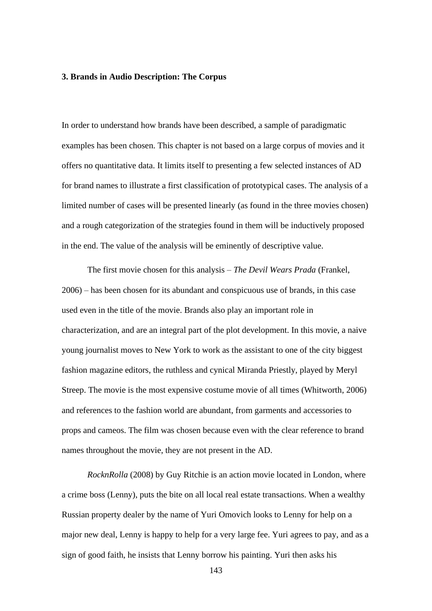#### **3. Brands in Audio Description: The Corpus**

In order to understand how brands have been described, a sample of paradigmatic examples has been chosen. This chapter is not based on a large corpus of movies and it offers no quantitative data. It limits itself to presenting a few selected instances of AD for brand names to illustrate a first classification of prototypical cases. The analysis of a limited number of cases will be presented linearly (as found in the three movies chosen) and a rough categorization of the strategies found in them will be inductively proposed in the end. The value of the analysis will be eminently of descriptive value.

The first movie chosen for this analysis – *The Devil Wears Prada* (Frankel, 2006) – has been chosen for its abundant and conspicuous use of brands, in this case used even in the title of the movie. Brands also play an important role in characterization, and are an integral part of the plot development. In this movie, a naive young journalist moves to New York to work as the assistant to one of the city biggest fashion magazine editors, the ruthless and cynical Miranda Priestly, played by Meryl Streep. The movie is the most expensive costume movie of all times (Whitworth, 2006) and references to the fashion world are abundant, from garments and accessories to props and cameos. The film was chosen because even with the clear reference to brand names throughout the movie, they are not present in the AD.

*RocknRolla* (2008) by Guy Ritchie is an action movie located in London, where a crime boss (Lenny), puts the bite on all local real estate transactions. When a wealthy Russian property dealer by the name of Yuri Omovich looks to Lenny for help on a major new deal, Lenny is happy to help for a very large fee. Yuri agrees to pay, and as a sign of good faith, he insists that Lenny borrow his painting. Yuri then asks his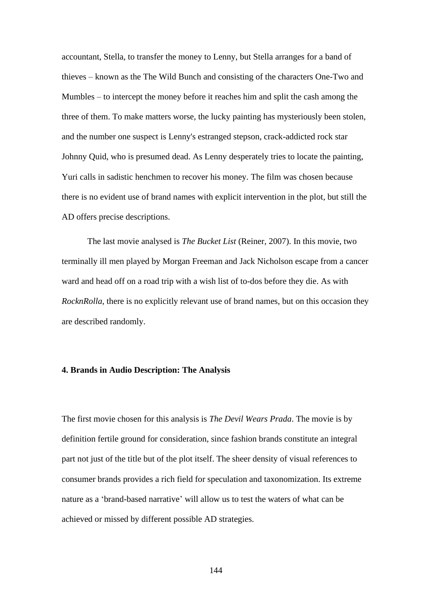accountant, Stella, to transfer the money to Lenny, but Stella arranges for a band of thieves – known as the The Wild Bunch and consisting of the characters One-Two and Mumbles – to intercept the money before it reaches him and split the cash among the three of them. To make matters worse, the lucky painting has mysteriously been stolen, and the number one suspect is Lenny's estranged stepson, crack-addicted rock star Johnny Quid, who is presumed dead. As Lenny desperately tries to locate the painting, Yuri calls in sadistic henchmen to recover his money. The film was chosen because there is no evident use of brand names with explicit intervention in the plot, but still the AD offers precise descriptions.

The last movie analysed is *The Bucket List* (Reiner, 2007). In this movie, two terminally ill men played by Morgan Freeman and Jack Nicholson escape from a cancer ward and head off on a road trip with a wish list of to-dos before they die. As with *RocknRolla*, there is no explicitly relevant use of brand names, but on this occasion they are described randomly.

#### **4. Brands in Audio Description: The Analysis**

The first movie chosen for this analysis is *The Devil Wears Prada*. The movie is by definition fertile ground for consideration, since fashion brands constitute an integral part not just of the title but of the plot itself. The sheer density of visual references to consumer brands provides a rich field for speculation and taxonomization. Its extreme nature as a 'brand-based narrative' will allow us to test the waters of what can be achieved or missed by different possible AD strategies.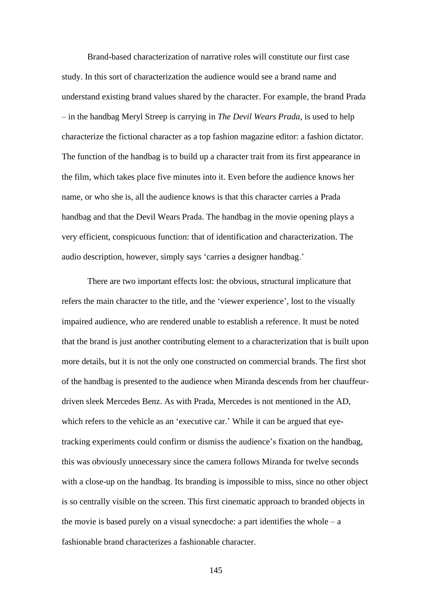Brand-based characterization of narrative roles will constitute our first case study. In this sort of characterization the audience would see a brand name and understand existing brand values shared by the character. For example, the brand Prada – in the handbag Meryl Streep is carrying in *The Devil Wears Prada*, is used to help characterize the fictional character as a top fashion magazine editor: a fashion dictator. The function of the handbag is to build up a character trait from its first appearance in the film, which takes place five minutes into it. Even before the audience knows her name, or who she is, all the audience knows is that this character carries a Prada handbag and that the Devil Wears Prada. The handbag in the movie opening plays a very efficient, conspicuous function: that of identification and characterization. The audio description, however, simply says 'carries a designer handbag.'

There are two important effects lost: the obvious, structural implicature that refers the main character to the title, and the 'viewer experience', lost to the visually impaired audience, who are rendered unable to establish a reference. It must be noted that the brand is just another contributing element to a characterization that is built upon more details, but it is not the only one constructed on commercial brands. The first shot of the handbag is presented to the audience when Miranda descends from her chauffeurdriven sleek Mercedes Benz. As with Prada, Mercedes is not mentioned in the AD, which refers to the vehicle as an 'executive car.' While it can be argued that eyetracking experiments could confirm or dismiss the audience's fixation on the handbag, this was obviously unnecessary since the camera follows Miranda for twelve seconds with a close-up on the handbag. Its branding is impossible to miss, since no other object is so centrally visible on the screen. This first cinematic approach to branded objects in the movie is based purely on a visual synecdoche: a part identifies the whole  $-$  a fashionable brand characterizes a fashionable character.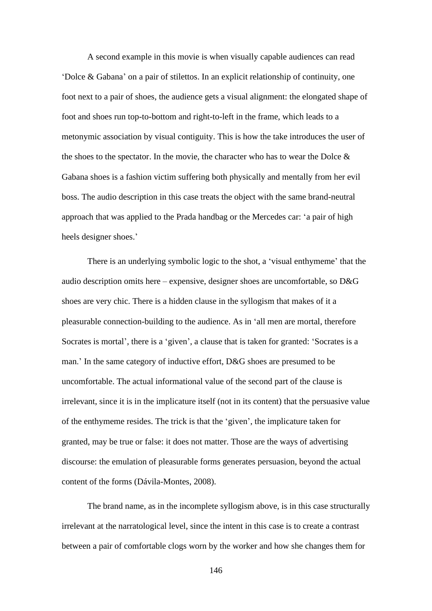A second example in this movie is when visually capable audiences can read 'Dolce & Gabana' on a pair of stilettos. In an explicit relationship of continuity, one foot next to a pair of shoes, the audience gets a visual alignment: the elongated shape of foot and shoes run top-to-bottom and right-to-left in the frame, which leads to a metonymic association by visual contiguity. This is how the take introduces the user of the shoes to the spectator. In the movie, the character who has to wear the Dolce  $\&$ Gabana shoes is a fashion victim suffering both physically and mentally from her evil boss. The audio description in this case treats the object with the same brand-neutral approach that was applied to the Prada handbag or the Mercedes car: 'a pair of high heels designer shoes.'

There is an underlying symbolic logic to the shot, a 'visual enthymeme' that the audio description omits here – expensive, designer shoes are uncomfortable, so D&G shoes are very chic. There is a hidden clause in the syllogism that makes of it a pleasurable connection-building to the audience. As in 'all men are mortal, therefore Socrates is mortal', there is a 'given', a clause that is taken for granted: 'Socrates is a man.' In the same category of inductive effort, D&G shoes are presumed to be uncomfortable. The actual informational value of the second part of the clause is irrelevant, since it is in the implicature itself (not in its content) that the persuasive value of the enthymeme resides. The trick is that the 'given', the implicature taken for granted, may be true or false: it does not matter. Those are the ways of advertising discourse: the emulation of pleasurable forms generates persuasion, beyond the actual content of the forms (Dávila-Montes, 2008).

The brand name, as in the incomplete syllogism above, is in this case structurally irrelevant at the narratological level, since the intent in this case is to create a contrast between a pair of comfortable clogs worn by the worker and how she changes them for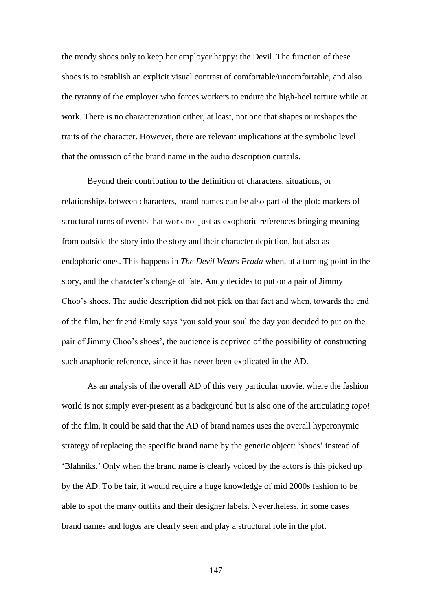the trendy shoes only to keep her employer happy: the Devil. The function of these shoes is to establish an explicit visual contrast of comfortable/uncomfortable, and also the tyranny of the employer who forces workers to endure the high-heel torture while at work. There is no characterization either, at least, not one that shapes or reshapes the traits of the character. However, there are relevant implications at the symbolic level that the omission of the brand name in the audio description curtails.

Beyond their contribution to the definition of characters, situations, or relationships between characters, brand names can be also part of the plot: markers of structural turns of events that work not just as exophoric references bringing meaning from outside the story into the story and their character depiction, but also as endophoric ones. This happens in *The Devil Wears Prada* when, at a turning point in the story, and the character's change of fate, Andy decides to put on a pair of Jimmy Choo's shoes. The audio description did not pick on that fact and when, towards the end of the film, her friend Emily says 'you sold your soul the day you decided to put on the pair of Jimmy Choo's shoes', the audience is deprived of the possibility of constructing such anaphoric reference, since it has never been explicated in the AD.

As an analysis of the overall AD of this very particular movie, where the fashion world is not simply ever-present as a background but is also one of the articulating *topoi* of the film, it could be said that the AD of brand names uses the overall hyperonymic strategy of replacing the specific brand name by the generic object: 'shoes' instead of 'Blahniks.' Only when the brand name is clearly voiced by the actors is this picked up by the AD. To be fair, it would require a huge knowledge of mid 2000s fashion to be able to spot the many outfits and their designer labels. Nevertheless, in some cases brand names and logos are clearly seen and play a structural role in the plot.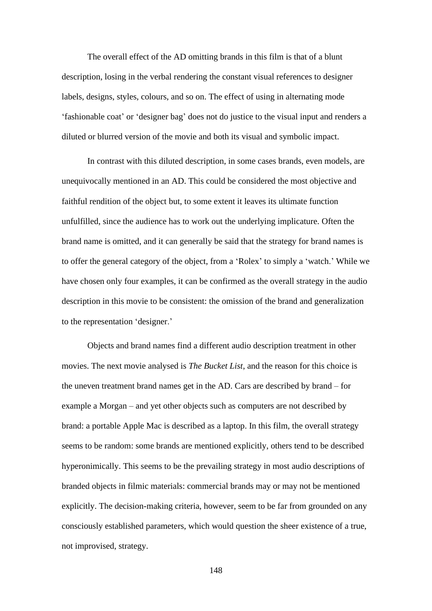The overall effect of the AD omitting brands in this film is that of a blunt description, losing in the verbal rendering the constant visual references to designer labels, designs, styles, colours, and so on. The effect of using in alternating mode 'fashionable coat' or 'designer bag' does not do justice to the visual input and renders a diluted or blurred version of the movie and both its visual and symbolic impact.

In contrast with this diluted description, in some cases brands, even models, are unequivocally mentioned in an AD. This could be considered the most objective and faithful rendition of the object but, to some extent it leaves its ultimate function unfulfilled, since the audience has to work out the underlying implicature. Often the brand name is omitted, and it can generally be said that the strategy for brand names is to offer the general category of the object, from a 'Rolex' to simply a 'watch.' While we have chosen only four examples, it can be confirmed as the overall strategy in the audio description in this movie to be consistent: the omission of the brand and generalization to the representation 'designer.'

Objects and brand names find a different audio description treatment in other movies. The next movie analysed is *The Bucket List*, and the reason for this choice is the uneven treatment brand names get in the AD. Cars are described by brand – for example a Morgan – and yet other objects such as computers are not described by brand: a portable Apple Mac is described as a laptop. In this film, the overall strategy seems to be random: some brands are mentioned explicitly, others tend to be described hyperonimically. This seems to be the prevailing strategy in most audio descriptions of branded objects in filmic materials: commercial brands may or may not be mentioned explicitly. The decision-making criteria, however, seem to be far from grounded on any consciously established parameters, which would question the sheer existence of a true, not improvised, strategy.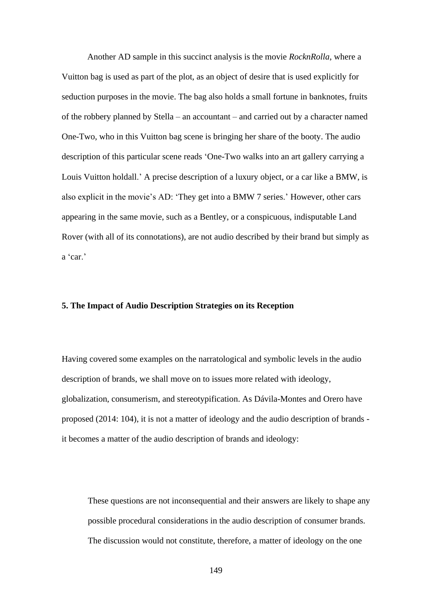Another AD sample in this succinct analysis is the movie *RocknRolla*, where a Vuitton bag is used as part of the plot, as an object of desire that is used explicitly for seduction purposes in the movie. The bag also holds a small fortune in banknotes, fruits of the robbery planned by Stella – an accountant – and carried out by a character named One-Two, who in this Vuitton bag scene is bringing her share of the booty. The audio description of this particular scene reads 'One-Two walks into an art gallery carrying a Louis Vuitton holdall.' A precise description of a luxury object, or a car like a BMW, is also explicit in the movie's AD: 'They get into a BMW 7 series.' However, other cars appearing in the same movie, such as a Bentley, or a conspicuous, indisputable Land Rover (with all of its connotations), are not audio described by their brand but simply as a 'car.'

### **5. The Impact of Audio Description Strategies on its Reception**

Having covered some examples on the narratological and symbolic levels in the audio description of brands, we shall move on to issues more related with ideology, globalization, consumerism, and stereotypification. As Dávila-Montes and Orero have proposed (2014: 104), it is not a matter of ideology and the audio description of brands it becomes a matter of the audio description of brands and ideology:

These questions are not inconsequential and their answers are likely to shape any possible procedural considerations in the audio description of consumer brands. The discussion would not constitute, therefore, a matter of ideology on the one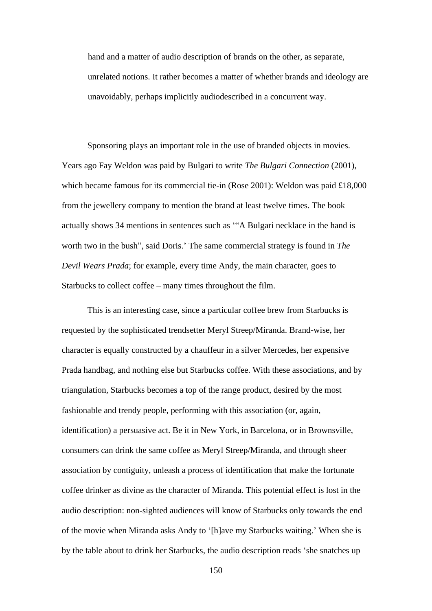hand and a matter of audio description of brands on the other, as separate, unrelated notions. It rather becomes a matter of whether brands and ideology are unavoidably, perhaps implicitly audiodescribed in a concurrent way.

Sponsoring plays an important role in the use of branded objects in movies. Years ago Fay Weldon was paid by Bulgari to write *The Bulgari Connection* (2001), which became famous for its commercial tie-in (Rose 2001): Weldon was paid £18,000 from the jewellery company to mention the brand at least twelve times. The book actually shows 34 mentions in sentences such as '"A Bulgari necklace in the hand is worth two in the bush", said Doris.' The same commercial strategy is found in *The Devil Wears Prada*; for example, every time Andy, the main character, goes to Starbucks to collect coffee – many times throughout the film.

This is an interesting case, since a particular coffee brew from Starbucks is requested by the sophisticated trendsetter Meryl Streep/Miranda. Brand-wise, her character is equally constructed by a chauffeur in a silver Mercedes, her expensive Prada handbag, and nothing else but Starbucks coffee. With these associations, and by triangulation, Starbucks becomes a top of the range product, desired by the most fashionable and trendy people, performing with this association (or, again, identification) a persuasive act. Be it in New York, in Barcelona, or in Brownsville, consumers can drink the same coffee as Meryl Streep/Miranda, and through sheer association by contiguity, unleash a process of identification that make the fortunate coffee drinker as divine as the character of Miranda. This potential effect is lost in the audio description: non-sighted audiences will know of Starbucks only towards the end of the movie when Miranda asks Andy to '[h]ave my Starbucks waiting.' When she is by the table about to drink her Starbucks, the audio description reads 'she snatches up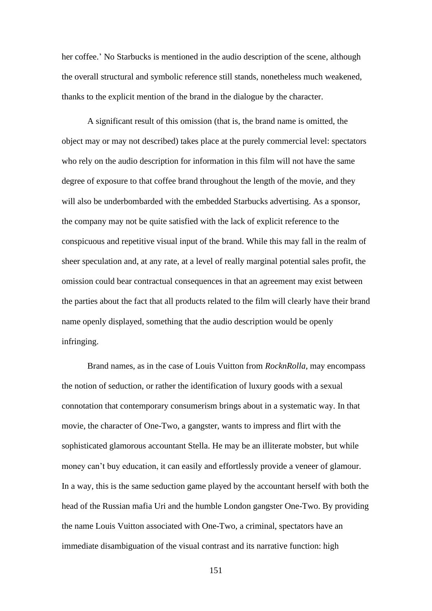her coffee.' No Starbucks is mentioned in the audio description of the scene, although the overall structural and symbolic reference still stands, nonetheless much weakened, thanks to the explicit mention of the brand in the dialogue by the character.

A significant result of this omission (that is, the brand name is omitted, the object may or may not described) takes place at the purely commercial level: spectators who rely on the audio description for information in this film will not have the same degree of exposure to that coffee brand throughout the length of the movie, and they will also be underbombarded with the embedded Starbucks advertising. As a sponsor, the company may not be quite satisfied with the lack of explicit reference to the conspicuous and repetitive visual input of the brand. While this may fall in the realm of sheer speculation and, at any rate, at a level of really marginal potential sales profit, the omission could bear contractual consequences in that an agreement may exist between the parties about the fact that all products related to the film will clearly have their brand name openly displayed, something that the audio description would be openly infringing.

Brand names, as in the case of Louis Vuitton from *RocknRolla*, may encompass the notion of seduction, or rather the identification of luxury goods with a sexual connotation that contemporary consumerism brings about in a systematic way. In that movie, the character of One-Two, a gangster, wants to impress and flirt with the sophisticated glamorous accountant Stella. He may be an illiterate mobster, but while money can't buy education, it can easily and effortlessly provide a veneer of glamour. In a way, this is the same seduction game played by the accountant herself with both the head of the Russian mafia Uri and the humble London gangster One-Two. By providing the name Louis Vuitton associated with One-Two, a criminal, spectators have an immediate disambiguation of the visual contrast and its narrative function: high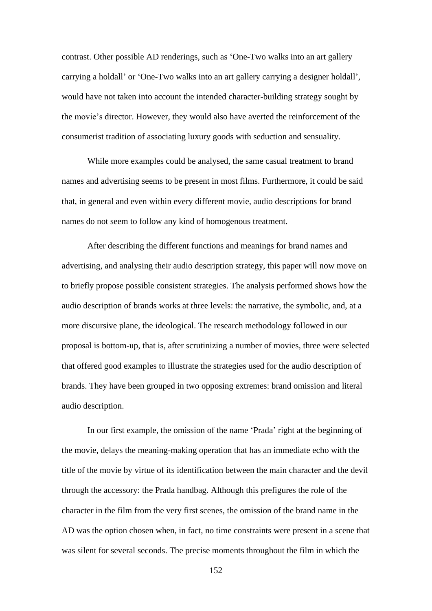contrast. Other possible AD renderings, such as 'One-Two walks into an art gallery carrying a holdall' or 'One-Two walks into an art gallery carrying a designer holdall', would have not taken into account the intended character-building strategy sought by the movie's director. However, they would also have averted the reinforcement of the consumerist tradition of associating luxury goods with seduction and sensuality.

While more examples could be analysed, the same casual treatment to brand names and advertising seems to be present in most films. Furthermore, it could be said that, in general and even within every different movie, audio descriptions for brand names do not seem to follow any kind of homogenous treatment.

After describing the different functions and meanings for brand names and advertising, and analysing their audio description strategy, this paper will now move on to briefly propose possible consistent strategies. The analysis performed shows how the audio description of brands works at three levels: the narrative, the symbolic, and, at a more discursive plane, the ideological. The research methodology followed in our proposal is bottom-up, that is, after scrutinizing a number of movies, three were selected that offered good examples to illustrate the strategies used for the audio description of brands. They have been grouped in two opposing extremes: brand omission and literal audio description.

In our first example, the omission of the name 'Prada' right at the beginning of the movie, delays the meaning-making operation that has an immediate echo with the title of the movie by virtue of its identification between the main character and the devil through the accessory: the Prada handbag. Although this prefigures the role of the character in the film from the very first scenes, the omission of the brand name in the AD was the option chosen when, in fact, no time constraints were present in a scene that was silent for several seconds. The precise moments throughout the film in which the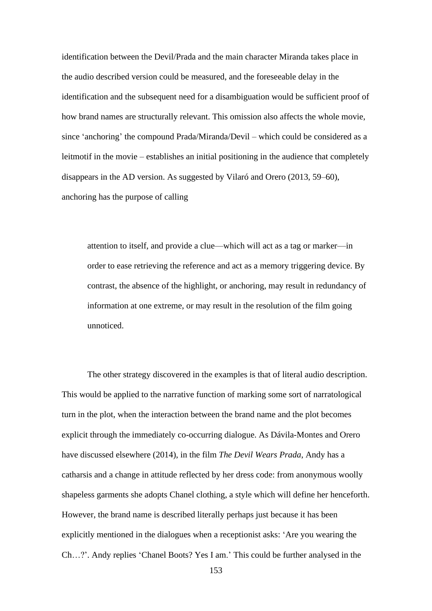identification between the Devil/Prada and the main character Miranda takes place in the audio described version could be measured, and the foreseeable delay in the identification and the subsequent need for a disambiguation would be sufficient proof of how brand names are structurally relevant. This omission also affects the whole movie, since 'anchoring' the compound Prada/Miranda/Devil – which could be considered as a leitmotif in the movie – establishes an initial positioning in the audience that completely disappears in the AD version. As suggested by Vilaró and Orero (2013, 59–60), anchoring has the purpose of calling

attention to itself, and provide a clue—which will act as a tag or marker—in order to ease retrieving the reference and act as a memory triggering device. By contrast, the absence of the highlight, or anchoring, may result in redundancy of information at one extreme, or may result in the resolution of the film going unnoticed.

The other strategy discovered in the examples is that of literal audio description. This would be applied to the narrative function of marking some sort of narratological turn in the plot, when the interaction between the brand name and the plot becomes explicit through the immediately co-occurring dialogue. As Dávila-Montes and Orero have discussed elsewhere (2014), in the film *The Devil Wears Prada*, Andy has a catharsis and a change in attitude reflected by her dress code: from anonymous woolly shapeless garments she adopts Chanel clothing, a style which will define her henceforth. However, the brand name is described literally perhaps just because it has been explicitly mentioned in the dialogues when a receptionist asks: 'Are you wearing the Ch…?'. Andy replies 'Chanel Boots? Yes I am.' This could be further analysed in the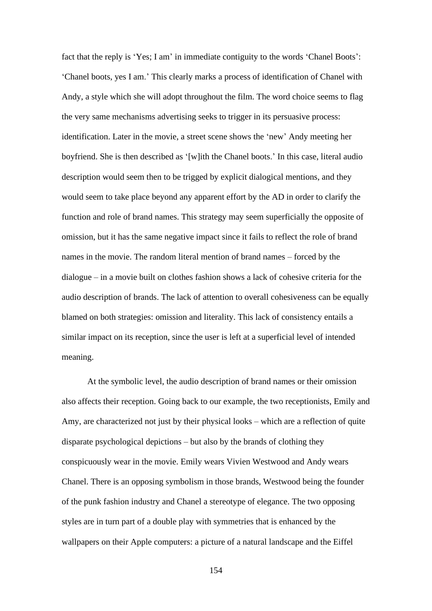fact that the reply is 'Yes; I am' in immediate contiguity to the words 'Chanel Boots': 'Chanel boots, yes I am.' This clearly marks a process of identification of Chanel with Andy, a style which she will adopt throughout the film. The word choice seems to flag the very same mechanisms advertising seeks to trigger in its persuasive process: identification. Later in the movie, a street scene shows the 'new' Andy meeting her boyfriend. She is then described as '[w]ith the Chanel boots.' In this case, literal audio description would seem then to be trigged by explicit dialogical mentions, and they would seem to take place beyond any apparent effort by the AD in order to clarify the function and role of brand names. This strategy may seem superficially the opposite of omission, but it has the same negative impact since it fails to reflect the role of brand names in the movie. The random literal mention of brand names – forced by the dialogue – in a movie built on clothes fashion shows a lack of cohesive criteria for the audio description of brands. The lack of attention to overall cohesiveness can be equally blamed on both strategies: omission and literality. This lack of consistency entails a similar impact on its reception, since the user is left at a superficial level of intended meaning.

At the symbolic level, the audio description of brand names or their omission also affects their reception. Going back to our example, the two receptionists, Emily and Amy, are characterized not just by their physical looks – which are a reflection of quite disparate psychological depictions – but also by the brands of clothing they conspicuously wear in the movie. Emily wears Vivien Westwood and Andy wears Chanel. There is an opposing symbolism in those brands, Westwood being the founder of the punk fashion industry and Chanel a stereotype of elegance. The two opposing styles are in turn part of a double play with symmetries that is enhanced by the wallpapers on their Apple computers: a picture of a natural landscape and the Eiffel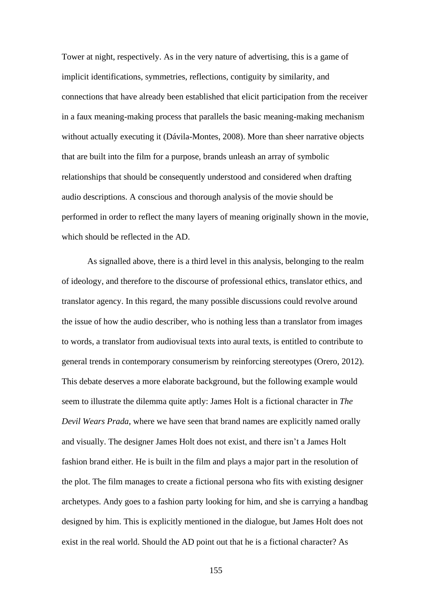Tower at night, respectively. As in the very nature of advertising, this is a game of implicit identifications, symmetries, reflections, contiguity by similarity, and connections that have already been established that elicit participation from the receiver in a faux meaning-making process that parallels the basic meaning-making mechanism without actually executing it (Dávila-Montes, 2008). More than sheer narrative objects that are built into the film for a purpose, brands unleash an array of symbolic relationships that should be consequently understood and considered when drafting audio descriptions. A conscious and thorough analysis of the movie should be performed in order to reflect the many layers of meaning originally shown in the movie, which should be reflected in the AD.

As signalled above, there is a third level in this analysis, belonging to the realm of ideology, and therefore to the discourse of professional ethics, translator ethics, and translator agency. In this regard, the many possible discussions could revolve around the issue of how the audio describer, who is nothing less than a translator from images to words, a translator from audiovisual texts into aural texts, is entitled to contribute to general trends in contemporary consumerism by reinforcing stereotypes (Orero, 2012). This debate deserves a more elaborate background, but the following example would seem to illustrate the dilemma quite aptly: James Holt is a fictional character in *The Devil Wears Prada*, where we have seen that brand names are explicitly named orally and visually. The designer James Holt does not exist, and there isn't a James Holt fashion brand either. He is built in the film and plays a major part in the resolution of the plot. The film manages to create a fictional persona who fits with existing designer archetypes. Andy goes to a fashion party looking for him, and she is carrying a handbag designed by him. This is explicitly mentioned in the dialogue, but James Holt does not exist in the real world. Should the AD point out that he is a fictional character? As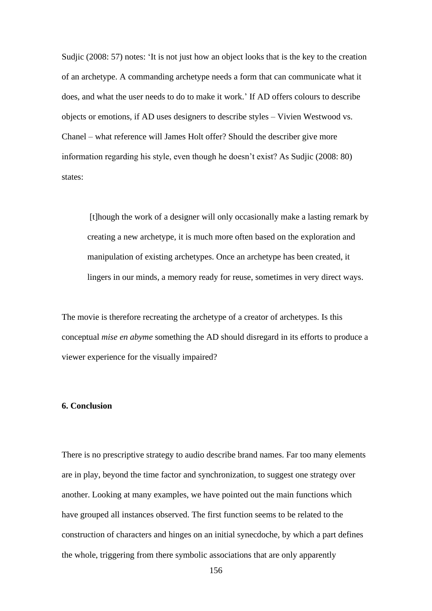Sudjic (2008: 57) notes: 'It is not just how an object looks that is the key to the creation of an archetype. A commanding archetype needs a form that can communicate what it does, and what the user needs to do to make it work.' If AD offers colours to describe objects or emotions, if AD uses designers to describe styles – Vivien Westwood vs. Chanel – what reference will James Holt offer? Should the describer give more information regarding his style, even though he doesn't exist? As Sudjic (2008: 80) states:

[t]hough the work of a designer will only occasionally make a lasting remark by creating a new archetype, it is much more often based on the exploration and manipulation of existing archetypes. Once an archetype has been created, it lingers in our minds, a memory ready for reuse, sometimes in very direct ways.

The movie is therefore recreating the archetype of a creator of archetypes. Is this conceptual *mise en abyme* something the AD should disregard in its efforts to produce a viewer experience for the visually impaired?

#### **6. Conclusion**

There is no prescriptive strategy to audio describe brand names. Far too many elements are in play, beyond the time factor and synchronization, to suggest one strategy over another. Looking at many examples, we have pointed out the main functions which have grouped all instances observed. The first function seems to be related to the construction of characters and hinges on an initial synecdoche, by which a part defines the whole, triggering from there symbolic associations that are only apparently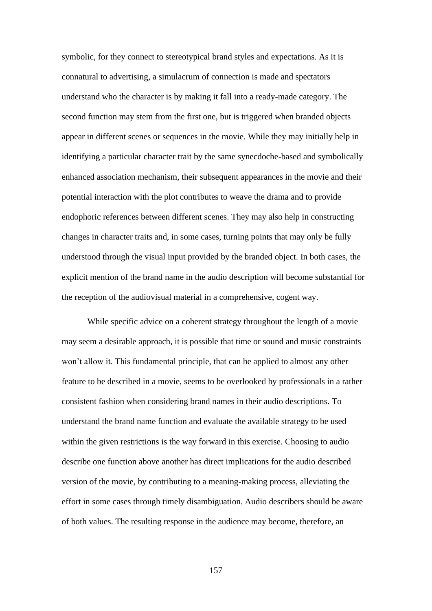symbolic, for they connect to stereotypical brand styles and expectations. As it is connatural to advertising, a simulacrum of connection is made and spectators understand who the character is by making it fall into a ready-made category. The second function may stem from the first one, but is triggered when branded objects appear in different scenes or sequences in the movie. While they may initially help in identifying a particular character trait by the same synecdoche-based and symbolically enhanced association mechanism, their subsequent appearances in the movie and their potential interaction with the plot contributes to weave the drama and to provide endophoric references between different scenes. They may also help in constructing changes in character traits and, in some cases, turning points that may only be fully understood through the visual input provided by the branded object. In both cases, the explicit mention of the brand name in the audio description will become substantial for the reception of the audiovisual material in a comprehensive, cogent way.

While specific advice on a coherent strategy throughout the length of a movie may seem a desirable approach, it is possible that time or sound and music constraints won't allow it. This fundamental principle, that can be applied to almost any other feature to be described in a movie, seems to be overlooked by professionals in a rather consistent fashion when considering brand names in their audio descriptions. To understand the brand name function and evaluate the available strategy to be used within the given restrictions is the way forward in this exercise. Choosing to audio describe one function above another has direct implications for the audio described version of the movie, by contributing to a meaning-making process, alleviating the effort in some cases through timely disambiguation. Audio describers should be aware of both values. The resulting response in the audience may become, therefore, an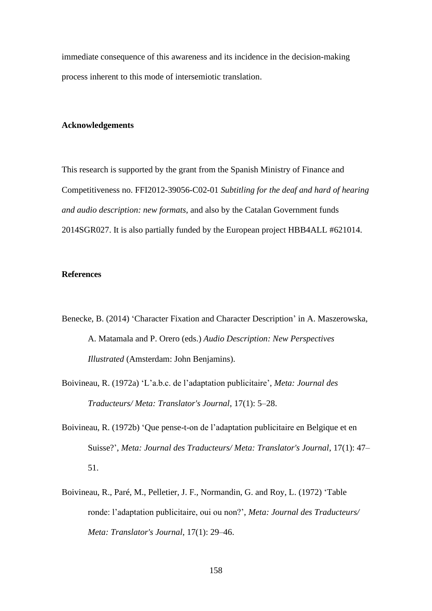immediate consequence of this awareness and its incidence in the decision-making process inherent to this mode of intersemiotic translation.

#### **Acknowledgements**

This research is supported by the grant from the Spanish Ministry of Finance and Competitiveness no. FFI2012-39056-C02-01 *Subtitling for the deaf and hard of hearing and audio description: new formats*, and also by the Catalan Government funds 2014SGR027. It is also partially funded by the European project HBB4ALL #621014.

#### **References**

- Benecke, B. (2014) 'Character Fixation and Character Description' in A. Maszerowska, A. Matamala and P. Orero (eds.) *Audio Description: New Perspectives Illustrated* (Amsterdam: John Benjamins).
- Boivineau, R. (1972a) 'L'a.b.c. de l'adaptation publicitaire', *Meta: Journal des Traducteurs/ Meta: Translator's Journal*, 17(1): 5–28.
- Boivineau, R. (1972b) 'Que pense-t-on de l'adaptation publicitaire en Belgique et en Suisse?', *Meta: Journal des Traducteurs/ Meta: Translator's Journal*, 17(1): 47– 51.
- Boivineau, R., Paré, M., Pelletier, J. F., Normandin, G. and Roy, L. (1972) 'Table ronde: l'adaptation publicitaire, oui ou non?', *Meta: Journal des Traducteurs/ Meta: Translator's Journal*, 17(1): 29–46.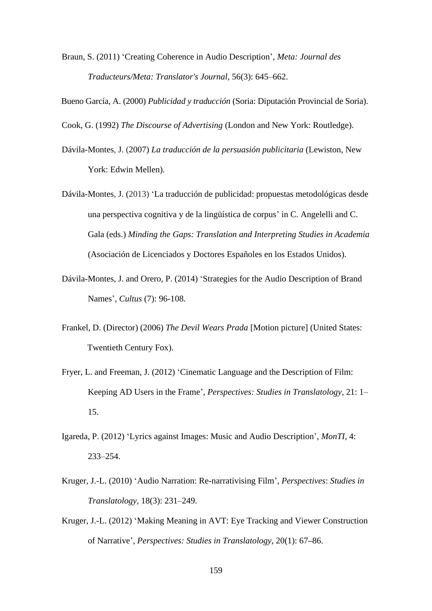Braun, S. (2011) 'Creating Coherence in Audio Description', *Meta: Journal des Traducteurs/Meta: Translator's Journal*, 56(3): 645–662.

Bueno García, A. (2000) *Publicidad y traducción* (Soria: Diputación Provincial de Soria).

Cook, G. (1992) *The Discourse of Advertising* (London and New York: Routledge).

- Dávila-Montes*,* J. (2007) *La traducción de la persuasión publicitaria* (Lewiston, New York: Edwin Mellen).
- Dávila-Montes*,* J. (2013) 'La traducción de publicidad: propuestas metodológicas desde una perspectiva cognitiva y de la lingüística de corpus' in C. Angelelli and C. Gala (eds.) *Minding the Gaps: Translation and Interpreting Studies in Academia* (Asociación de Licenciados y Doctores Españoles en los Estados Unidos).
- Dávila-Montes, J. and Orero, P. (2014) 'Strategies for the Audio Description of Brand Names', *Cultus* (7): 96-108.
- Frankel, D. (Director) (2006) *The Devil Wears Prada* [Motion picture] (United States: Twentieth Century Fox).
- Fryer, L. and Freeman, J. (2012) 'Cinematic Language and the Description of Film: Keeping AD Users in the Frame', *Perspectives: Studies in Translatology*, 21: 1– 15.
- Igareda, P. (2012) 'Lyrics against Images: Music and Audio Description', *MonTI,* 4: 233–254.
- Kruger, J.-L. (2010) 'Audio Narration: Re-narrativising Film', *Perspectives*: *Studies in Translatology,* 18(3): 231–249.
- Kruger, J.-L. (2012) 'Making Meaning in AVT: Eye Tracking and Viewer Construction of Narrative', *Perspectives: Studies in Translatology*, 20(1): 67**–**86.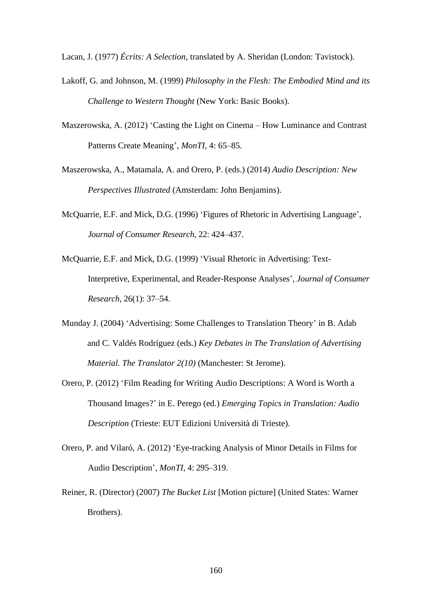Lacan, J. (1977) *Écrits: A Selection*, translated by A. Sheridan (London: Tavistock).

- Lakoff, G. and Johnson, M. (1999) *Philosophy in the Flesh: The Embodied Mind and its Challenge to Western Thought* (New York: Basic Books).
- Maszerowska, A. (2012) 'Casting the Light on Cinema How Luminance and Contrast Patterns Create Meaning', *MonTI,* 4: 65–85.
- Maszerowska, A., Matamala, A. and Orero, P. (eds.) (2014) *Audio Description: New Perspectives Illustrated* (Amsterdam: John Benjamins).
- McQuarrie, E.F. and Mick, D.G. (1996) 'Figures of Rhetoric in Advertising Language', *Journal of Consumer Research*, 22: 424–437.
- McQuarrie, E.F. and Mick, D.G. (1999) 'Visual Rhetoric in Advertising: Text-Interpretive, Experimental, and Reader-Response Analyses', *Journal of Consumer Research*, 26(1): 37–54.
- Munday J. (2004) 'Advertising: Some Challenges to Translation Theory' in B. Adab and C. Valdés Rodríguez (eds.) *Key Debates in The Translation of Advertising Material. The Translator 2(10)* (Manchester: St Jerome).
- Orero, P. (2012) 'Film Reading for Writing Audio Descriptions: A Word is Worth a Thousand Images?' in E. Perego (ed.) *Emerging Topics in Translation: Audio Description* (Trieste: EUT Edizioni Università di Trieste).
- Orero, P. and Vilaró, A. (2012) 'Eye-tracking Analysis of Minor Details in Films for Audio Description', *MonTI,* 4: 295–319.
- Reiner, R. (Director) (2007) *The Bucket List* [Motion picture] (United States: Warner Brothers).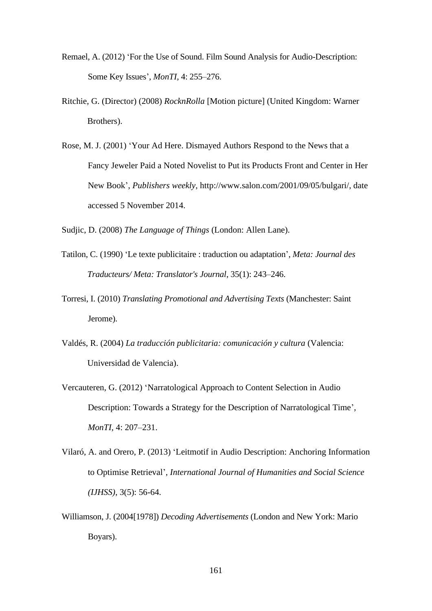- Remael, A. (2012) 'For the Use of Sound. Film Sound Analysis for Audio-Description: Some Key Issues', *MonTI,* 4: 255–276.
- Ritchie, G. (Director) (2008) *RocknRolla* [Motion picture] (United Kingdom: Warner Brothers).
- Rose, M. J. (2001) 'Your Ad Here. Dismayed Authors Respond to the News that a Fancy Jeweler Paid a Noted Novelist to Put its Products Front and Center in Her New Book', *Publishers weekly*, http://www.salon.com/2001/09/05/bulgari/, date accessed 5 November 2014.
- Sudjic, D. (2008) *The Language of Things* (London: Allen Lane).
- Tatilon, C. (1990) 'Le texte publicitaire : traduction ou adaptation', *Meta: Journal des Traducteurs/ Meta: Translator's Journal*, 35(1): 243–246.
- Torresi, I. (2010) *Translating Promotional and Advertising Texts* (Manchester: Saint Jerome).
- Valdés, R. (2004) *La traducción publicitaria: comunicación y cultura* (Valencia: Universidad de Valencia).
- Vercauteren, G. (2012) 'Narratological Approach to Content Selection in Audio Description: Towards a Strategy for the Description of Narratological Time', *MonTI*, 4: 207–231.
- Vilaró, A. and Orero, P. (2013) 'Leitmotif in Audio Description: Anchoring Information to Optimise Retrieval', *International Journal of Humanities and Social Science (IJHSS)*, 3(5): 56-64.
- Williamson, J. (2004[1978]) *Decoding Advertisements* (London and New York: Mario Boyars).